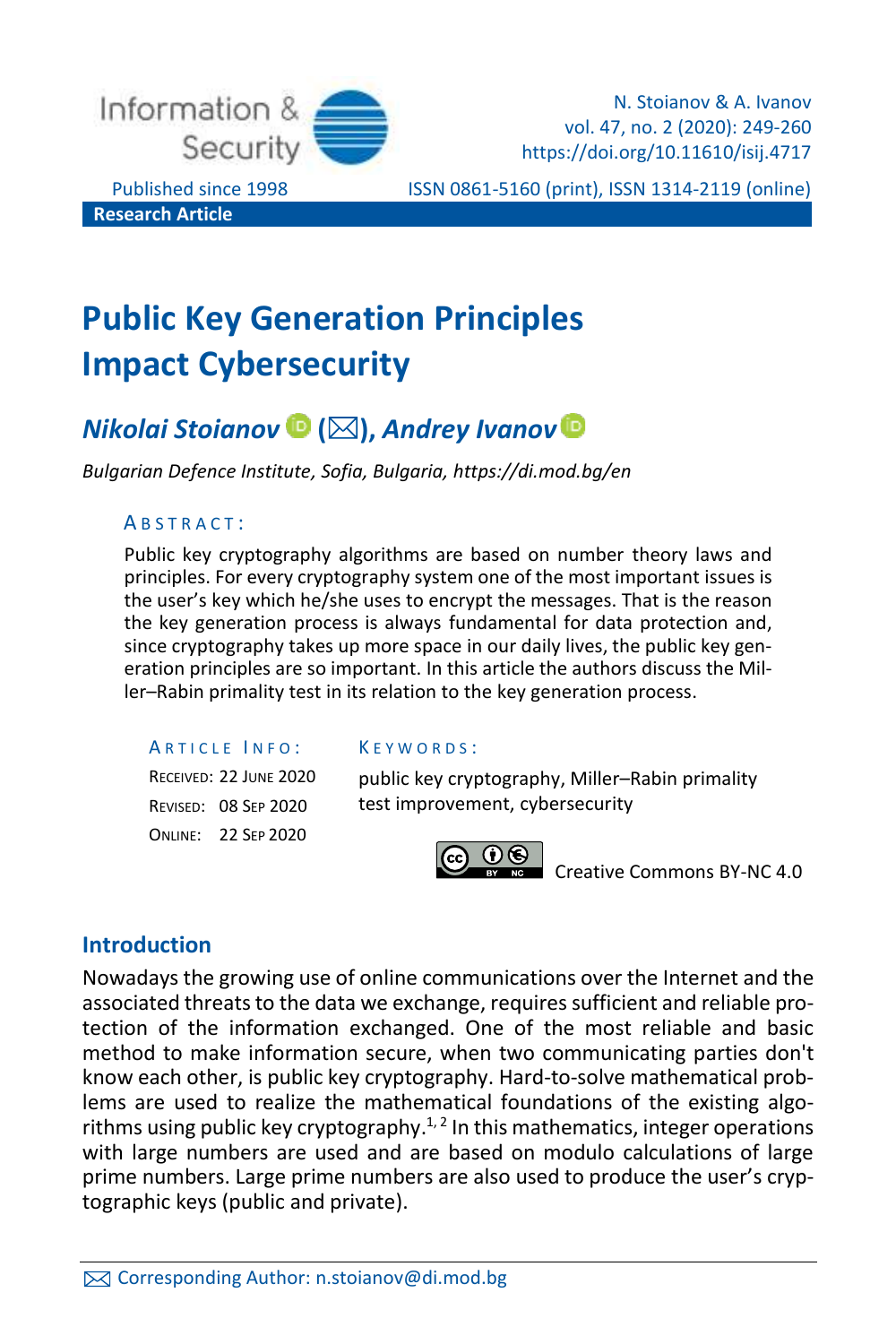

Published since 1998 ISSN 0861-5160 (print), ISSN 1314-2119 (online)

# **Public Key Generation Principles Impact Cybersecurity**

## *Nikolai Stoianov* **(),** *Andrey Ivanov*

*Bulgarian Defence Institute, Sofia, Bulgaria, https://di.mod.bg/en*

#### A B S T R A C T :

Public key cryptography algorithms are based on number theory laws and principles. For every cryptography system one of the most important issues is the user's key which he/she uses to encrypt the messages. That is the reason the key generation process is always fundamental for data protection and, since cryptography takes up more space in our daily lives, the public key generation principles are so important. In this article the authors discuss the Miller–Rabin primality test in its relation to the key generation process.

ARTICLE INFO:

RECEIVED: 22 JUNE 2020 REVISED: 08 SEP 2020 ONLINE: 22 SEP 2020

#### K E Y W O R D S :

public key cryptography, Miller–Rabin primality test improvement, cybersecurity



[Creative Commons BY-NC 4.0](https://creativecommons.org/licenses/by-nc/4.0/legalcode)

## **Introduction**

Nowadays the growing use of online communications over the Internet and the associated threats to the data we exchange, requires sufficient and reliable protection of the information exchanged. One of the most reliable and basic method to make information secure, when two communicating parties don't know each other, is public key cryptography. Hard-to-solve mathematical problems are used to realize the mathematical foundations of the existing algorithms using public key cryptography.<sup> $1, 2$ </sup> In this mathematics, integer operations with large numbers are used and are based on modulo calculations of large prime numbers. Large prime numbers are also used to produce the user's cryptographic keys (public and private).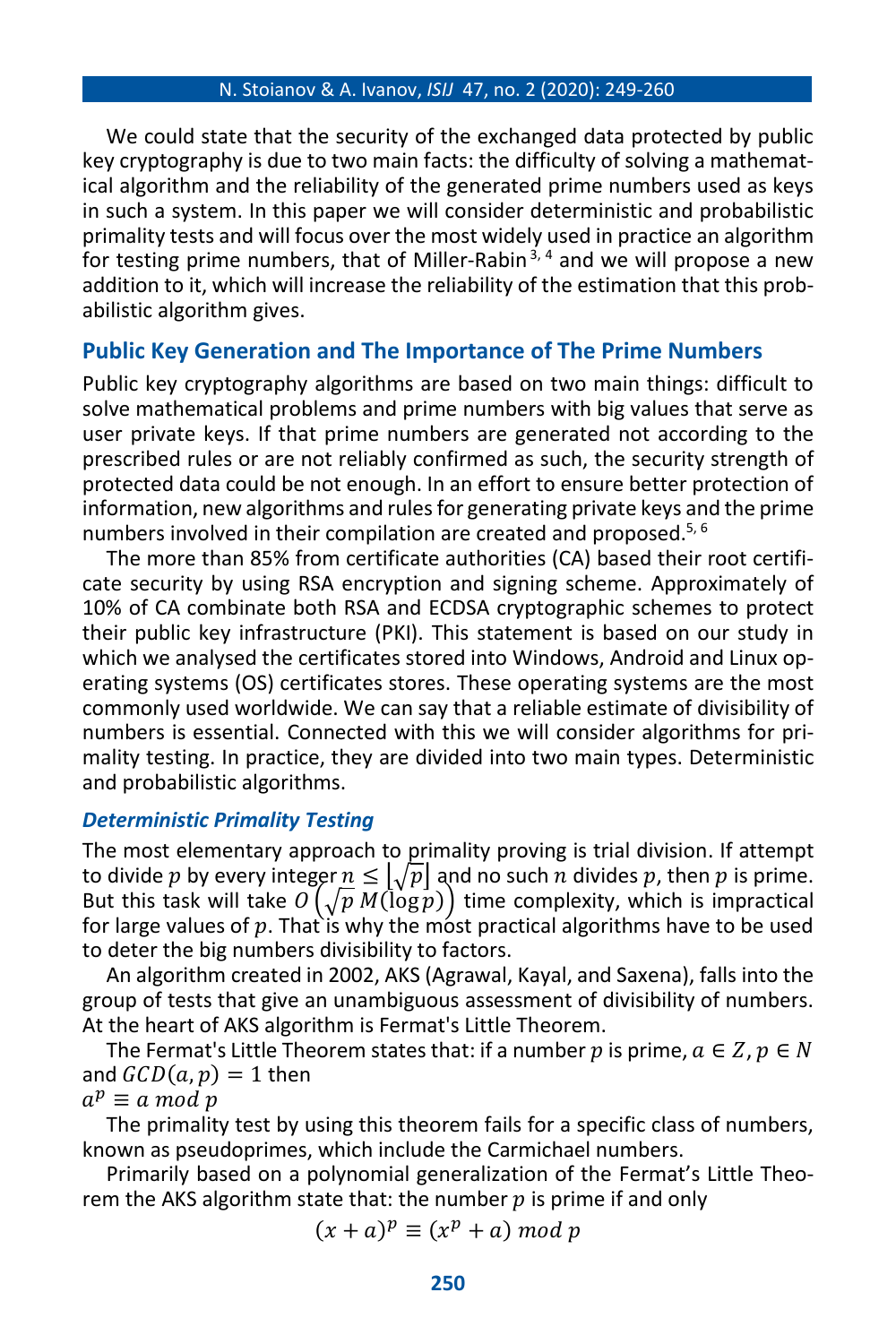We could state that the security of the exchanged data protected by public key cryptography is due to two main facts: the difficulty of solving a mathematical algorithm and the reliability of the generated prime numbers used as keys in such a system. In this paper we will consider deterministic and probabilistic primality tests and will focus over the most widely used in practice an algorithm for testing prime numbers, that of Miller-Rabin  $3, 4$  and we will propose a new addition to it, which will increase the reliability of the estimation that this probabilistic algorithm gives.

### **Public Key Generation and The Importance of The Prime Numbers**

Public key cryptography algorithms are based on two main things: difficult to solve mathematical problems and prime numbers with big values that serve as user private keys. If that prime numbers are generated not according to the prescribed rules or are not reliably confirmed as such, the security strength of protected data could be not enough. In an effort to ensure better protection of information, new algorithms and rules for generating private keys and the prime numbers involved in their compilation are created and proposed.<sup>5, 6</sup>

The more than 85% from certificate authorities (CA) based their root certificate security by using RSA encryption and signing scheme. Approximately of 10% of CA combinate both RSA and ECDSA cryptographic schemes to protect their public key infrastructure (PKI). This statement is based on our study in which we analysed the certificates stored into Windows, Android and Linux operating systems (OS) certificates stores. These operating systems are the most commonly used worldwide. We can say that a reliable estimate of divisibility of numbers is essential. Connected with this we will consider algorithms for primality testing. In practice, they are divided into two main types. Deterministic and probabilistic algorithms.

#### *Deterministic Primality Testing*

The most elementary approach to primality proving is trial division. If attempt to divide p by every integer  $n \leq \sqrt{p}$  and no such n divides p, then p is prime. But this task will take  $O(\sqrt{p} M(\log p))$  time complexity, which is impractical for large values of p. That is why the most practical algorithms have to be used to deter the big numbers divisibility to factors.

An algorithm created in 2002, AKS (Agrawal, Kayal, and Saxena), falls into the group of tests that give an unambiguous assessment of divisibility of numbers. At the heart of AKS algorithm is Fermat's Little Theorem.

The Fermat's Little Theorem states that: if a number p is prime,  $a \in \mathbb{Z}$ ,  $p \in \mathbb{N}$ and  $GCD(a, p) = 1$  then

$$
a^p \equiv a \bmod p
$$

The primality test by using this theorem fails for a specific class of numbers, known as pseudoprimes, which include the Carmichael numbers.

Primarily based on a polynomial generalization of the Fermat's Little Theorem the AKS algorithm state that: the number  $p$  is prime if and only

$$
(x+a)^p \equiv (x^p + a) \bmod p
$$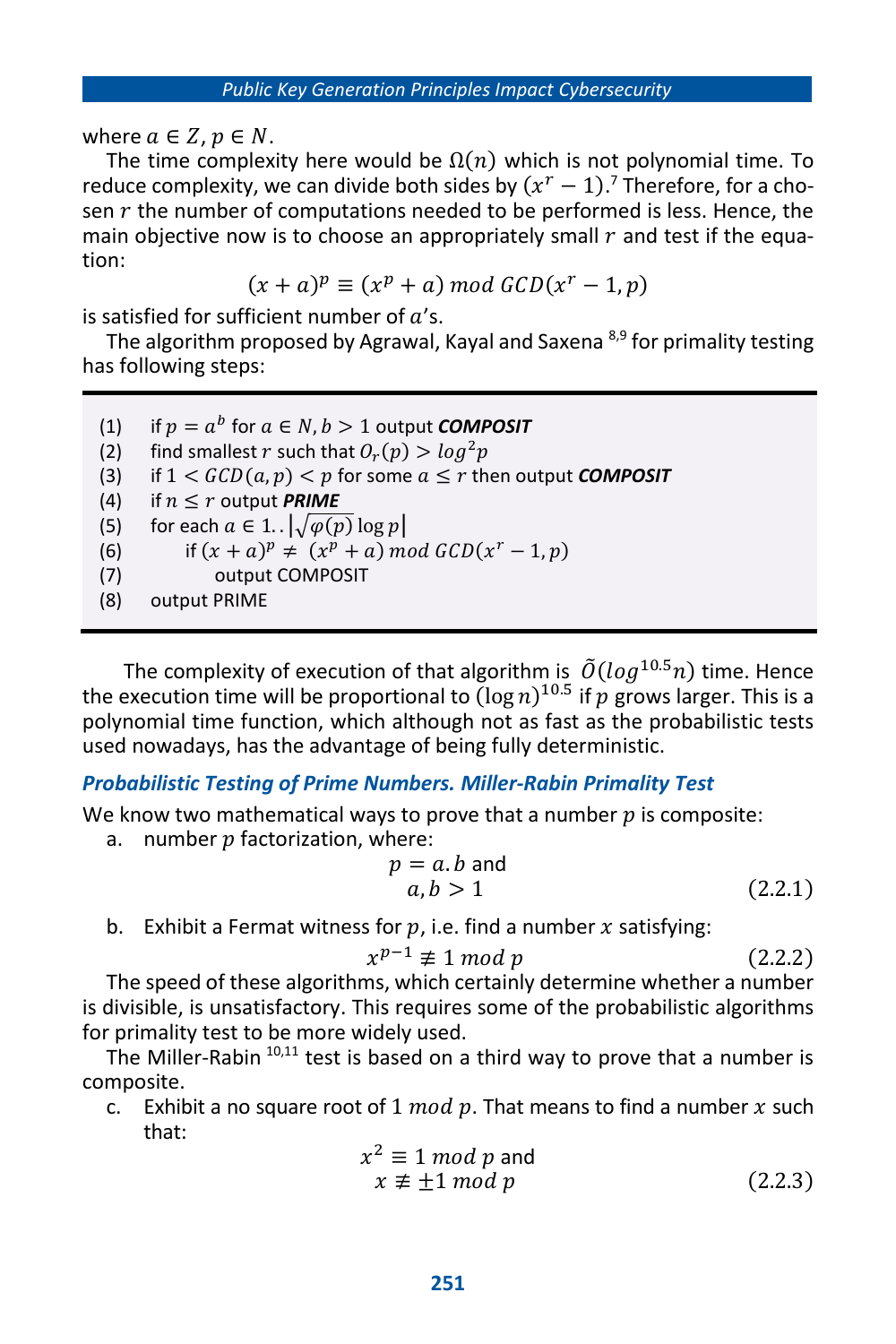where  $a \in \mathbb{Z}$ ,  $p \in \mathbb{N}$ .

The time complexity here would be  $\Omega(n)$  which is not polynomial time. To reduce complexity, we can divide both sides by  $(x^r - 1)$ .<sup>7</sup> Therefore, for a chosen  $r$  the number of computations needed to be performed is less. Hence, the main objective now is to choose an appropriately small  $r$  and test if the equation:

 $(x + a)^p \equiv (x^p + a) \bmod GCD(x^r - 1, p)$ 

is satisfied for sufficient number of  $a$ 's.

The algorithm proposed by Agrawal, Kayal and Saxena <sup>8,9</sup> for primality testing has following steps:

- (1) if  $p = a^b$  for  $a \in N, b > 1$  output **COMPOSIT** (2) find smallest r such that  $O_r(p) > log^2 p$ (3) if  $1 < GCD(a, p) < p$  for some  $a \le r$  then output *COMPOSIT* (4) if  $n \le r$  output **PRIME** (5) for each  $a \in 1$ .  $\sqrt{\varphi(p) \log p}$ (6) if  $(x + a)^p \neq (x^p + a) \mod GCD(x^r - 1, p)$ (7) output COMPOSIT
- (8) output PRIME

The complexity of execution of that algorithm is  $\tilde{O}(log^{10.5}n)$  time. Hence the execution time will be proportional to  $(\log n)^{10.5}$  if  $p$  grows larger. This is a polynomial time function, which although not as fast as the probabilistic tests used nowadays, has the advantage of being fully deterministic.

#### *Probabilistic Testing of Prime Numbers. Miller-Rabin Primality Test*

We know two mathematical ways to prove that a number  $p$  is composite:

a. number  $p$  factorization, where:

$$
p = a.b \text{ and}
$$
  
 
$$
a, b > 1
$$
 (2.2.1)

b. Exhibit a Fermat witness for  $p$ , i.e. find a number  $x$  satisfying:

$$
x^{p-1} \not\equiv 1 \bmod p \tag{2.2.2}
$$

The speed of these algorithms, which certainly determine whether a number is divisible, is unsatisfactory. This requires some of the probabilistic algorithms for primality test to be more widely used.

The Miller-Rabin  $10,11$  test is based on a third way to prove that a number is composite.

c. Exhibit a no square root of 1  $mod\ p$ . That means to find a number x such that:

$$
x2 \equiv 1 \mod p \text{ and}
$$
  
 
$$
x \not\equiv \pm 1 \mod p \tag{2.2.3}
$$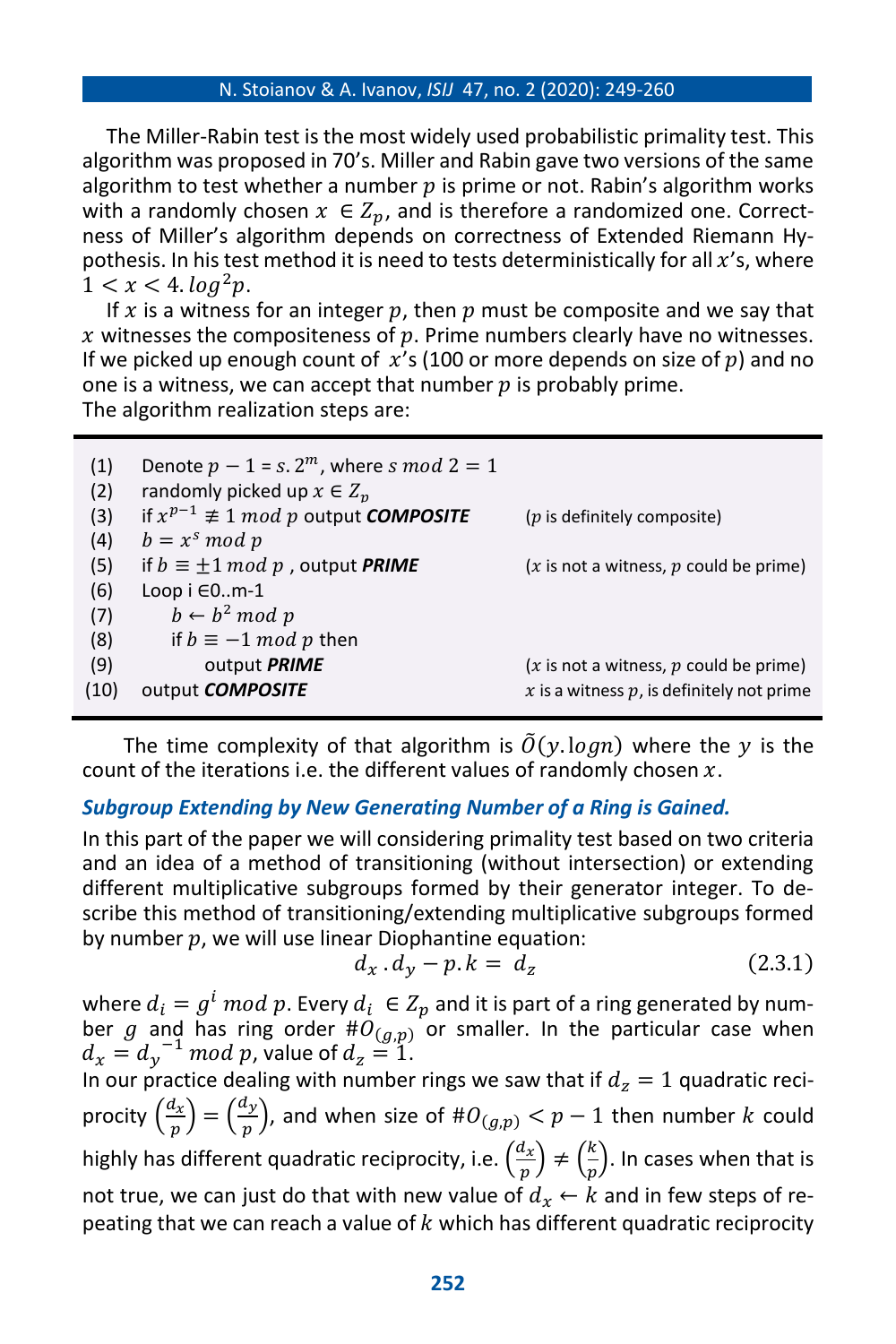The Miller-Rabin test is the most widely used probabilistic primality test. This algorithm was proposed in 70's. Miller and Rabin gave two versions of the same algorithm to test whether a number  $p$  is prime or not. Rabin's algorithm works with a randomly chosen  $x \in Z_n$ , and is therefore a randomized one. Correctness of Miller's algorithm depends on correctness of Extended Riemann Hypothesis. In his test method it is need to tests deterministically for all  $x$ 's, where  $1 < x < 4$ ,  $log^2 p$ .

If x is a witness for an integer p, then p must be composite and we say that x witnesses the compositeness of  $p$ . Prime numbers clearly have no witnesses. If we picked up enough count of  $x'$ s (100 or more depends on size of  $p$ ) and no one is a witness, we can accept that number  $p$  is probably prime. The algorithm realization steps are:

| Denote $p-1 = s \cdot 2^m$ , where s mod $2 = 1$         |                                                          |
|----------------------------------------------------------|----------------------------------------------------------|
| if $x^{p-1} \not\equiv 1 \mod p$ output <b>COMPOSITE</b> | $(p$ is definitely composite)                            |
| $b = x^s \mod p$                                         |                                                          |
| if $b \equiv \pm 1 \mod p$ , output <b>PRIME</b>         | $(x \text{ is not a witness}, p \text{ could be prime})$ |
| Loop $i \in 0m-1$                                        |                                                          |
| $b \leftarrow b^2 \mod p$                                |                                                          |
| if $b \equiv -1 \mod p$ then                             |                                                          |
| output PRIME                                             | $(x \text{ is not a witness}, p \text{ could be prime})$ |
| output <b>COMPOSITE</b>                                  | $x$ is a witness $p$ , is definitely not prime           |
|                                                          | randomly picked up $x \in Z_n$                           |

The time complexity of that algorithm is  $\tilde{\theta}(\gamma \log n)$  where the y is the count of the iterations i.e. the different values of randomly chosen  $x$ .

## *Subgroup Extending by New Generating Number of a Ring is Gained.*

In this part of the paper we will considering primality test based on two criteria and an idea of a method of transitioning (without intersection) or extending different multiplicative subgroups formed by their generator integer. To describe this method of transitioning/extending multiplicative subgroups formed by number  $p$ , we will use linear Diophantine equation:

$$
d_x \cdot d_y - p \cdot k = d_z \tag{2.3.1}
$$

where  $d_i = g^i \ mod \ p.$  Every  $d_i \ \in Z_p$  and it is part of a ring generated by number g and has ring order  $\#\mathcal{O}_{(g,p)}$  or smaller. In the particular case when  $d_x = d_y^{-1}$  mod p, value of  $d_z = 1$ .

In our practice dealing with number rings we saw that if  $d_z = 1$  quadratic reciprocity  $\left(\frac{d_x}{d_y}\right)$  $\left(\frac{d_x}{p}\right) = \left(\frac{d_y}{p}\right)$  $(\frac{y}{p})$ , and when size of  $\#O_{(g,p)} < p-1$  then number  $k$  could highly has different quadratic reciprocity, i.e.  $\left(\frac{d_{x}}{n}\right)$  $\left(\frac{d_x}{p}\right) \neq \left(\frac{k}{p}\right)$  $\frac{\kappa}{p}$ ). In cases when that is not true, we can just do that with new value of  $d_x \leftarrow k$  and in few steps of repeating that we can reach a value of  $k$  which has different quadratic reciprocity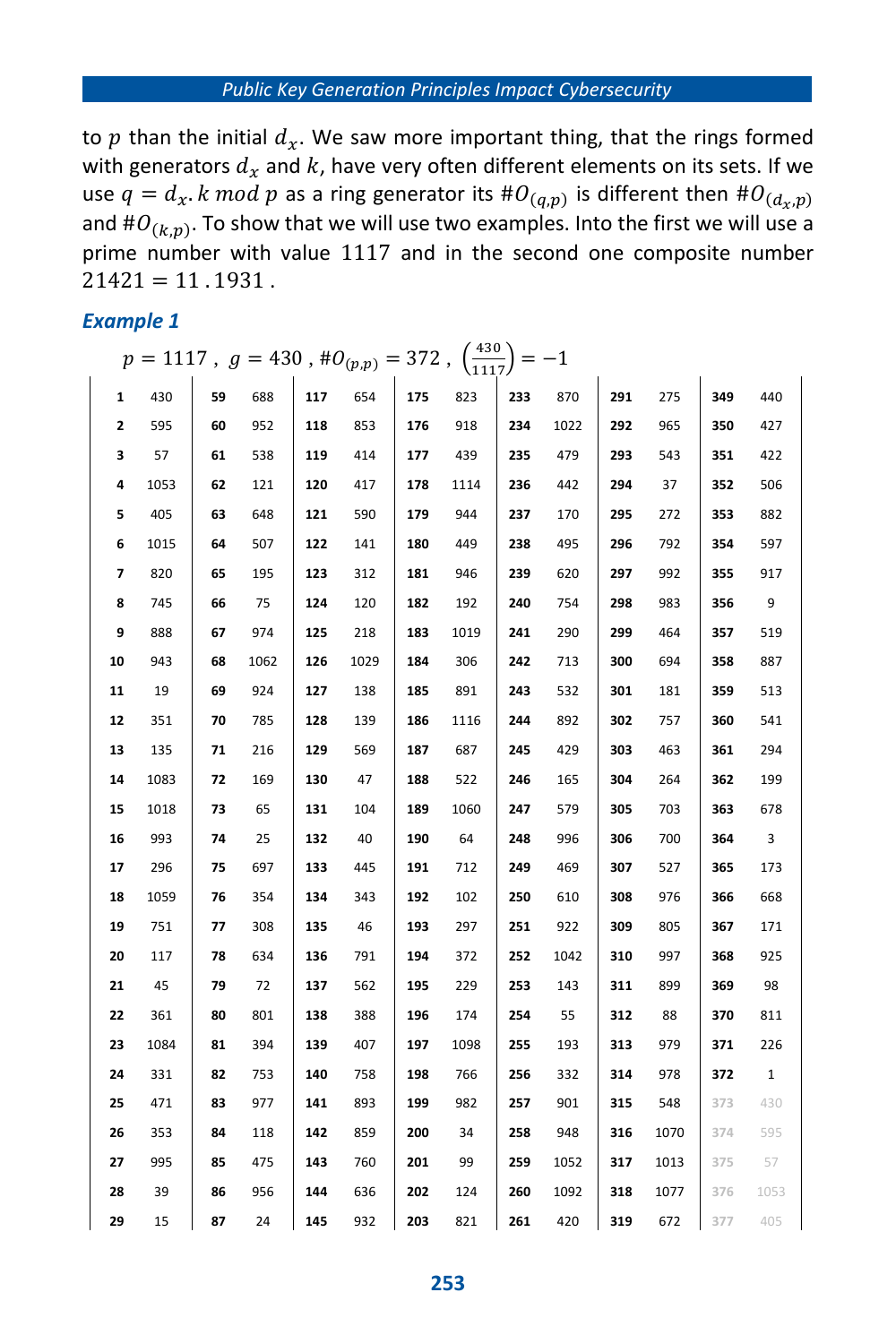#### *Public Key Generation Principles Impact Cybersecurity*

to p than the initial  $d_x$ . We saw more important thing, that the rings formed with generators  $d_x$  and k, have very often different elements on its sets. If we use  $q=d_x.$   $k \ mod \ p$  as a ring generator its  $\#O_{(q,p)}$  is different then  $\#O_{(d_x,p)}$ and  $\#O_{(k,p)}$ . To show that we will use two examples. Into the first we will use a prime number with value 1117 and in the second one composite number  $21421 = 11.1931$ .

#### *Example 1*

|              | $p = 1117$ , $g = 430$ , $\#O_{(p,p)} = 372$ , $\left(\frac{430}{1117}\right) = -1$ |    |      |     |      |     |      |     |      |     |      |     |              |
|--------------|-------------------------------------------------------------------------------------|----|------|-----|------|-----|------|-----|------|-----|------|-----|--------------|
| $\mathbf{1}$ | 430                                                                                 | 59 | 688  | 117 | 654  | 175 | 823  | 233 | 870  | 291 | 275  | 349 | 440          |
| 2            | 595                                                                                 | 60 | 952  | 118 | 853  | 176 | 918  | 234 | 1022 | 292 | 965  | 350 | 427          |
| 3            | 57                                                                                  | 61 | 538  | 119 | 414  | 177 | 439  | 235 | 479  | 293 | 543  | 351 | 422          |
| 4            | 1053                                                                                | 62 | 121  | 120 | 417  | 178 | 1114 | 236 | 442  | 294 | 37   | 352 | 506          |
| 5            | 405                                                                                 | 63 | 648  | 121 | 590  | 179 | 944  | 237 | 170  | 295 | 272  | 353 | 882          |
| 6            | 1015                                                                                | 64 | 507  | 122 | 141  | 180 | 449  | 238 | 495  | 296 | 792  | 354 | 597          |
| 7            | 820                                                                                 | 65 | 195  | 123 | 312  | 181 | 946  | 239 | 620  | 297 | 992  | 355 | 917          |
| 8            | 745                                                                                 | 66 | 75   | 124 | 120  | 182 | 192  | 240 | 754  | 298 | 983  | 356 | - 9          |
| 9            | 888                                                                                 | 67 | 974  | 125 | 218  | 183 | 1019 | 241 | 290  | 299 | 464  | 357 | 519          |
| 10           | 943                                                                                 | 68 | 1062 | 126 | 1029 | 184 | 306  | 242 | 713  | 300 | 694  | 358 | 887          |
| 11           | 19                                                                                  | 69 | 924  | 127 | 138  | 185 | 891  | 243 | 532  | 301 | 181  | 359 | 513          |
| 12           | 351                                                                                 | 70 | 785  | 128 | 139  | 186 | 1116 | 244 | 892  | 302 | 757  | 360 | 541          |
| 13           | 135                                                                                 | 71 | 216  | 129 | 569  | 187 | 687  | 245 | 429  | 303 | 463  | 361 | 294          |
| 14           | 1083                                                                                | 72 | 169  | 130 | 47   | 188 | 522  | 246 | 165  | 304 | 264  | 362 | 199          |
| 15           | 1018                                                                                | 73 | 65   | 131 | 104  | 189 | 1060 | 247 | 579  | 305 | 703  | 363 | 678          |
| 16           | 993                                                                                 | 74 | 25   | 132 | 40   | 190 | 64   | 248 | 996  | 306 | 700  | 364 | 3            |
| 17           | 296                                                                                 | 75 | 697  | 133 | 445  | 191 | 712  | 249 | 469  | 307 | 527  | 365 | 173          |
| 18           | 1059                                                                                | 76 | 354  | 134 | 343  | 192 | 102  | 250 | 610  | 308 | 976  | 366 | 668          |
| 19           | 751                                                                                 | 77 | 308  | 135 | 46   | 193 | 297  | 251 | 922  | 309 | 805  | 367 | 171          |
| 20           | 117                                                                                 | 78 | 634  | 136 | 791  | 194 | 372  | 252 | 1042 | 310 | 997  | 368 | 925          |
| 21           | 45                                                                                  | 79 | 72   | 137 | 562  | 195 | 229  | 253 | 143  | 311 | 899  | 369 | 98           |
| 22           | 361                                                                                 | 80 | 801  | 138 | 388  | 196 | 174  | 254 | 55   | 312 | 88   | 370 | 811          |
| 23           | 1084                                                                                | 81 | 394  | 139 | 407  | 197 | 1098 | 255 | 193  | 313 | 979  | 371 | 226          |
| 24           | 331                                                                                 | 82 | 753  | 140 | 758  | 198 | 766  | 256 | 332  | 314 | 978  | 372 | $\mathbf{1}$ |
| 25           | 471                                                                                 | 83 | 977  | 141 | 893  | 199 | 982  | 257 | 901  | 315 | 548  | 373 | 430          |
| 26           | 353                                                                                 | 84 | 118  | 142 | 859  | 200 | 34   | 258 | 948  | 316 | 1070 | 374 | 595          |
| 27           | 995                                                                                 | 85 | 475  | 143 | 760  | 201 | 99   | 259 | 1052 | 317 | 1013 | 375 | 57           |
| 28           | 39                                                                                  | 86 | 956  | 144 | 636  | 202 | 124  | 260 | 1092 | 318 | 1077 | 376 | 1053         |
| 29           | 15                                                                                  | 87 | 24   | 145 | 932  | 203 | 821  | 261 | 420  | 319 | 672  | 377 | 405          |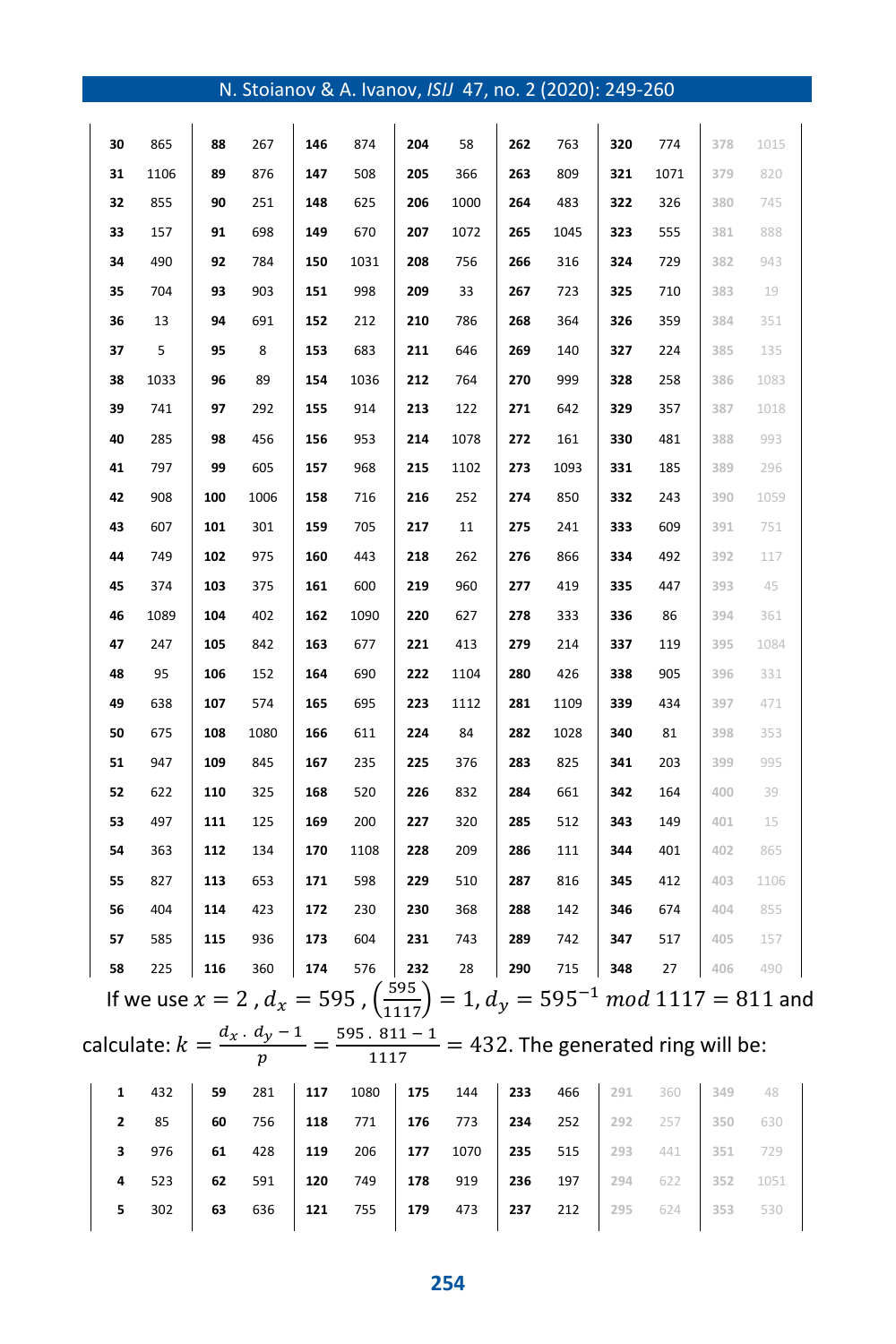|--|

| 30 | 865  | 88  | 267  | 146 | 874  | 204 | 58                                                                                                           | 262 | 763  | 320 | 774  | 378 | 1015 |  |
|----|------|-----|------|-----|------|-----|--------------------------------------------------------------------------------------------------------------|-----|------|-----|------|-----|------|--|
| 31 | 1106 | 89  | 876  | 147 | 508  | 205 | 366                                                                                                          | 263 | 809  | 321 | 1071 | 379 | 820  |  |
| 32 | 855  | 90  | 251  | 148 | 625  | 206 | 1000                                                                                                         | 264 | 483  | 322 | 326  | 380 | 745  |  |
| 33 | 157  | 91  | 698  | 149 | 670  | 207 | 1072                                                                                                         | 265 | 1045 | 323 | 555  | 381 | 888  |  |
| 34 | 490  | 92  | 784  | 150 | 1031 | 208 | 756                                                                                                          | 266 | 316  | 324 | 729  | 382 | 943  |  |
| 35 | 704  | 93  | 903  | 151 | 998  | 209 | 33                                                                                                           | 267 | 723  | 325 | 710  | 383 | 19   |  |
| 36 | 13   | 94  | 691  | 152 | 212  | 210 | 786                                                                                                          | 268 | 364  | 326 | 359  | 384 | 351  |  |
| 37 | 5    | 95  | 8    | 153 | 683  | 211 | 646                                                                                                          | 269 | 140  | 327 | 224  | 385 | 135  |  |
| 38 | 1033 | 96  | 89   | 154 | 1036 | 212 | 764                                                                                                          | 270 | 999  | 328 | 258  | 386 | 1083 |  |
| 39 | 741  | 97  | 292  | 155 | 914  | 213 | 122                                                                                                          | 271 | 642  | 329 | 357  | 387 | 1018 |  |
| 40 | 285  | 98  | 456  | 156 | 953  | 214 | 1078                                                                                                         | 272 | 161  | 330 | 481  | 388 | 993  |  |
| 41 | 797  | 99  | 605  | 157 | 968  | 215 | 1102                                                                                                         | 273 | 1093 | 331 | 185  | 389 | 296  |  |
| 42 | 908  | 100 | 1006 | 158 | 716  | 216 | 252                                                                                                          | 274 | 850  | 332 | 243  | 390 | 1059 |  |
| 43 | 607  | 101 | 301  | 159 | 705  | 217 | 11                                                                                                           | 275 | 241  | 333 | 609  | 391 | 751  |  |
| 44 | 749  | 102 | 975  | 160 | 443  | 218 | 262                                                                                                          | 276 | 866  | 334 | 492  | 392 | 117  |  |
| 45 | 374  | 103 | 375  | 161 | 600  | 219 | 960                                                                                                          | 277 | 419  | 335 | 447  | 393 | 45   |  |
| 46 | 1089 | 104 | 402  | 162 | 1090 | 220 | 627                                                                                                          | 278 | 333  | 336 | 86   | 394 | 361  |  |
| 47 | 247  | 105 | 842  | 163 | 677  | 221 | 413                                                                                                          | 279 | 214  | 337 | 119  | 395 | 1084 |  |
| 48 | 95   | 106 | 152  | 164 | 690  | 222 | 1104                                                                                                         | 280 | 426  | 338 | 905  | 396 | 331  |  |
| 49 | 638  | 107 | 574  | 165 | 695  | 223 | 1112                                                                                                         | 281 | 1109 | 339 | 434  | 397 | 471  |  |
| 50 | 675  | 108 | 1080 | 166 | 611  | 224 | 84                                                                                                           | 282 | 1028 | 340 | 81   | 398 | 353  |  |
| 51 | 947  | 109 | 845  | 167 | 235  | 225 | 376                                                                                                          | 283 | 825  | 341 | 203  | 399 | 995  |  |
| 52 | 622  | 110 | 325  | 168 | 520  | 226 | 832                                                                                                          | 284 | 661  | 342 | 164  | 400 | 39   |  |
| 53 | 497  | 111 | 125  | 169 | 200  | 227 | 320                                                                                                          | 285 | 512  | 343 | 149  | 401 | 15   |  |
| 54 | 363  | 112 | 134  | 170 | 1108 | 228 | 209                                                                                                          | 286 | 111  | 344 | 401  | 402 | 865  |  |
| 55 | 827  | 113 | 653  | 171 | 598  | 229 | 510                                                                                                          | 287 | 816  | 345 | 412  | 403 | 1106 |  |
| 56 | 404  | 114 | 423  | 172 | 230  | 230 | 368                                                                                                          | 288 | 142  | 346 | 674  | 404 | 855  |  |
| 57 | 585  | 115 | 936  | 173 | 604  | 231 | 743                                                                                                          | 289 | 742  | 347 | 517  | 405 | 157  |  |
| 58 | 225  | 116 | 360  | 174 | 576  | 232 | 28                                                                                                           | 290 | 715  | 348 | 27   | 406 | 490  |  |
|    |      |     |      |     |      |     | If we use $x = 2$ , $d_x = 595$ , $\left(\frac{595}{1117}\right) = 1$ , $d_y = 595^{-1} \mod 1117 = 811$ and |     |      |     |      |     |      |  |
|    |      |     |      |     |      |     | calculate: $k = \frac{d_x \cdot d_y - 1}{p} = \frac{595.811 - 1}{1117} = 432$ . The generated ring will be:  |     |      |     |      |     |      |  |
| 1  | 432  | 59  | 281  | 117 | 1080 | 175 | 144                                                                                                          | 233 | 466  | 291 | 360  | 349 | 48   |  |
| 2  | 85   | 60  | 756  | 118 | 771  | 176 | 773                                                                                                          | 234 | 252  | 292 | 257  | 350 | 630  |  |
| 3  | 976  | 61  | 428  | 119 | 206  | 177 | 1070                                                                                                         | 235 | 515  | 293 | 441  | 351 | 729  |  |
| 4  | 523  | 62  | 591  | 120 | 749  | 178 | 919                                                                                                          | 236 | 197  | 294 | 622  | 352 | 1051 |  |

302 **63** 636 **121** 755 **179** 473 **237** 212 **295** 624 **353** 530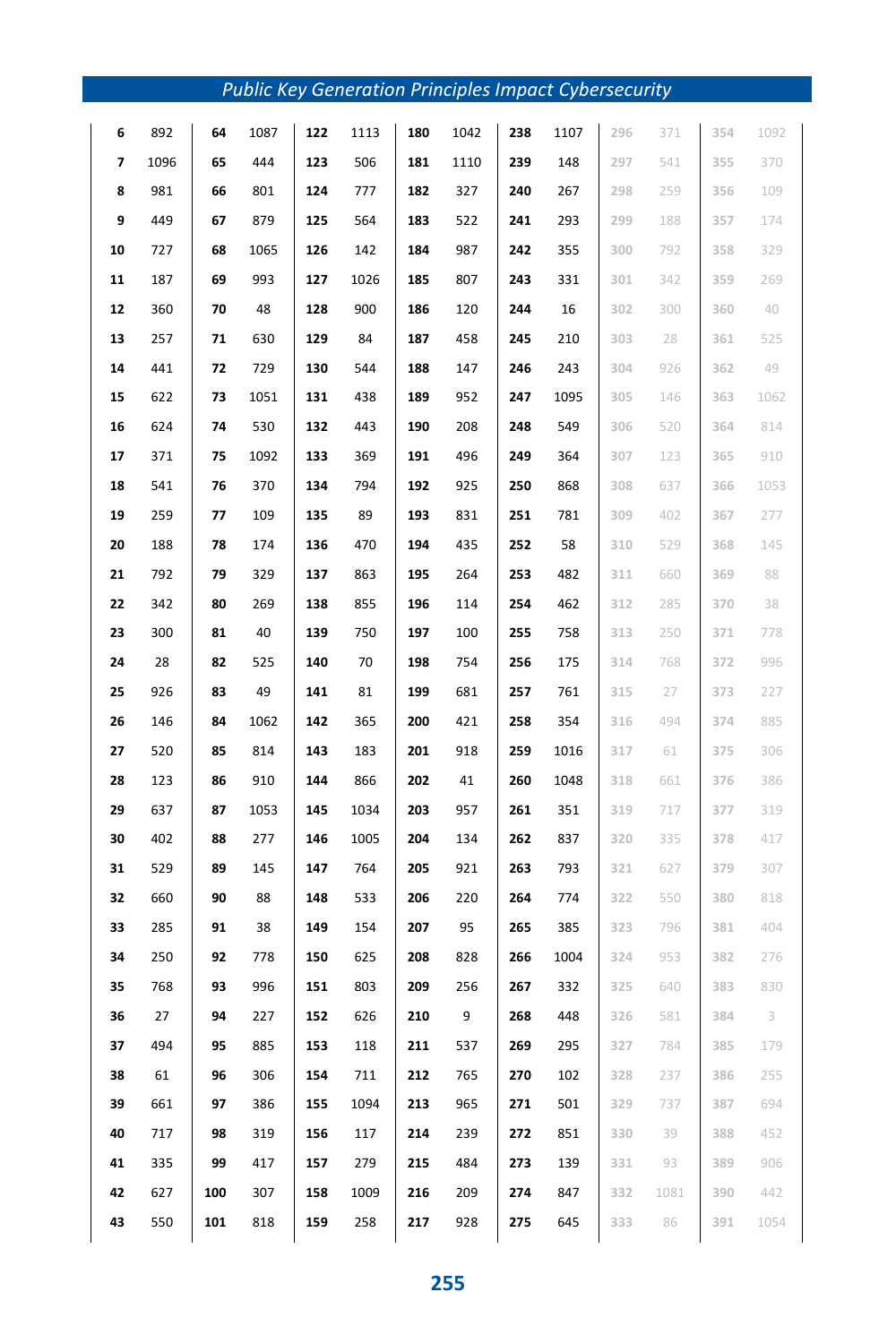|    |      |     |      |     | <b>Public Key Generation Principles Impact Cybersecurity</b> |     |      |     |      |     |      |     |      |
|----|------|-----|------|-----|--------------------------------------------------------------|-----|------|-----|------|-----|------|-----|------|
| 6  | 892  | 64  | 1087 | 122 | 1113                                                         | 180 | 1042 | 238 | 1107 | 296 | 371  | 354 | 1092 |
| 7  | 1096 | 65  | 444  | 123 | 506                                                          | 181 | 1110 | 239 | 148  | 297 | 541  | 355 | 370  |
| 8  | 981  | 66  | 801  | 124 | 777                                                          | 182 | 327  | 240 | 267  | 298 | 259  | 356 | 109  |
| 9  | 449  | 67  | 879  | 125 | 564                                                          | 183 | 522  | 241 | 293  | 299 | 188  | 357 | 174  |
| 10 | 727  | 68  | 1065 | 126 | 142                                                          | 184 | 987  | 242 | 355  | 300 | 792  | 358 | 329  |
| 11 | 187  | 69  | 993  | 127 | 1026                                                         | 185 | 807  | 243 | 331  | 301 | 342  | 359 | 269  |
| 12 | 360  | 70  | 48   | 128 | 900                                                          | 186 | 120  | 244 | 16   | 302 | 300  | 360 | 40   |
| 13 | 257  | 71  | 630  | 129 | 84                                                           | 187 | 458  | 245 | 210  | 303 | 28   | 361 | 525  |
| 14 | 441  | 72  | 729  | 130 | 544                                                          | 188 | 147  | 246 | 243  | 304 | 926  | 362 | 49   |
| 15 | 622  | 73  | 1051 | 131 | 438                                                          | 189 | 952  | 247 | 1095 | 305 | 146  | 363 | 1062 |
| 16 | 624  | 74  | 530  | 132 | 443                                                          | 190 | 208  | 248 | 549  | 306 | 520  | 364 | 814  |
| 17 | 371  | 75  | 1092 | 133 | 369                                                          | 191 | 496  | 249 | 364  | 307 | 123  | 365 | 910  |
| 18 | 541  | 76  | 370  | 134 | 794                                                          | 192 | 925  | 250 | 868  | 308 | 637  | 366 | 1053 |
| 19 | 259  | 77  | 109  | 135 | 89                                                           | 193 | 831  | 251 | 781  | 309 | 402  | 367 | 277  |
| 20 | 188  | 78  | 174  | 136 | 470                                                          | 194 | 435  | 252 | 58   | 310 | 529  | 368 | 145  |
| 21 | 792  | 79  | 329  | 137 | 863                                                          | 195 | 264  | 253 | 482  | 311 | 660  | 369 | 88   |
| 22 | 342  | 80  | 269  | 138 | 855                                                          | 196 | 114  | 254 | 462  | 312 | 285  | 370 | 38   |
| 23 | 300  | 81  | 40   | 139 | 750                                                          | 197 | 100  | 255 | 758  | 313 | 250  | 371 | 778  |
| 24 | 28   | 82  | 525  | 140 | 70                                                           | 198 | 754  | 256 | 175  | 314 | 768  | 372 | 996  |
| 25 | 926  | 83  | 49   | 141 | 81                                                           | 199 | 681  | 257 | 761  | 315 | 27   | 373 | 227  |
| 26 | 146  | 84  | 1062 | 142 | 365                                                          | 200 | 421  | 258 | 354  | 316 | 494  | 374 | 885  |
| 27 | 520  | 85  | 814  | 143 | 183                                                          | 201 | 918  | 259 | 1016 | 317 | 61   | 375 | 306  |
| 28 | 123  | 86  | 910  | 144 | 866                                                          | 202 | 41   | 260 | 1048 | 318 | 661  | 376 | 386  |
| 29 | 637  | 87  | 1053 | 145 | 1034                                                         | 203 | 957  | 261 | 351  | 319 | 717  | 377 | 319  |
| 30 | 402  | 88  | 277  | 146 | 1005                                                         | 204 | 134  | 262 | 837  | 320 | 335  | 378 | 417  |
| 31 | 529  | 89  | 145  | 147 | 764                                                          | 205 | 921  | 263 | 793  | 321 | 627  | 379 | 307  |
| 32 | 660  | 90  | 88   | 148 | 533                                                          | 206 | 220  | 264 | 774  | 322 | 550  | 380 | 818  |
| 33 | 285  | 91  | 38   | 149 | 154                                                          | 207 | 95   | 265 | 385  | 323 | 796  | 381 | 404  |
| 34 | 250  | 92  | 778  | 150 | 625                                                          | 208 | 828  | 266 | 1004 | 324 | 953  | 382 | 276  |
| 35 | 768  | 93  | 996  | 151 | 803                                                          | 209 | 256  | 267 | 332  | 325 | 640  | 383 | 830  |
| 36 | 27   | 94  | 227  | 152 | 626                                                          | 210 | 9    | 268 | 448  | 326 | 581  | 384 | -3   |
| 37 | 494  | 95  | 885  | 153 | 118                                                          | 211 | 537  | 269 | 295  | 327 | 784  | 385 | 179  |
| 38 | 61   | 96  | 306  | 154 | 711                                                          | 212 | 765  | 270 | 102  | 328 | 237  | 386 | 255  |
| 39 | 661  | 97  | 386  | 155 | 1094                                                         | 213 | 965  | 271 | 501  | 329 | 737  | 387 | 694  |
| 40 | 717  | 98  | 319  | 156 | 117                                                          | 214 | 239  | 272 | 851  | 330 | 39   | 388 | 452  |
| 41 | 335  | 99  | 417  | 157 | 279                                                          | 215 | 484  | 273 | 139  | 331 | 93   | 389 | 906  |
| 42 | 627  | 100 | 307  | 158 | 1009                                                         | 216 | 209  | 274 | 847  | 332 | 1081 | 390 | 442  |
| 43 | 550  | 101 | 818  | 159 | 258                                                          | 217 | 928  | 275 | 645  | 333 | 86   | 391 | 1054 |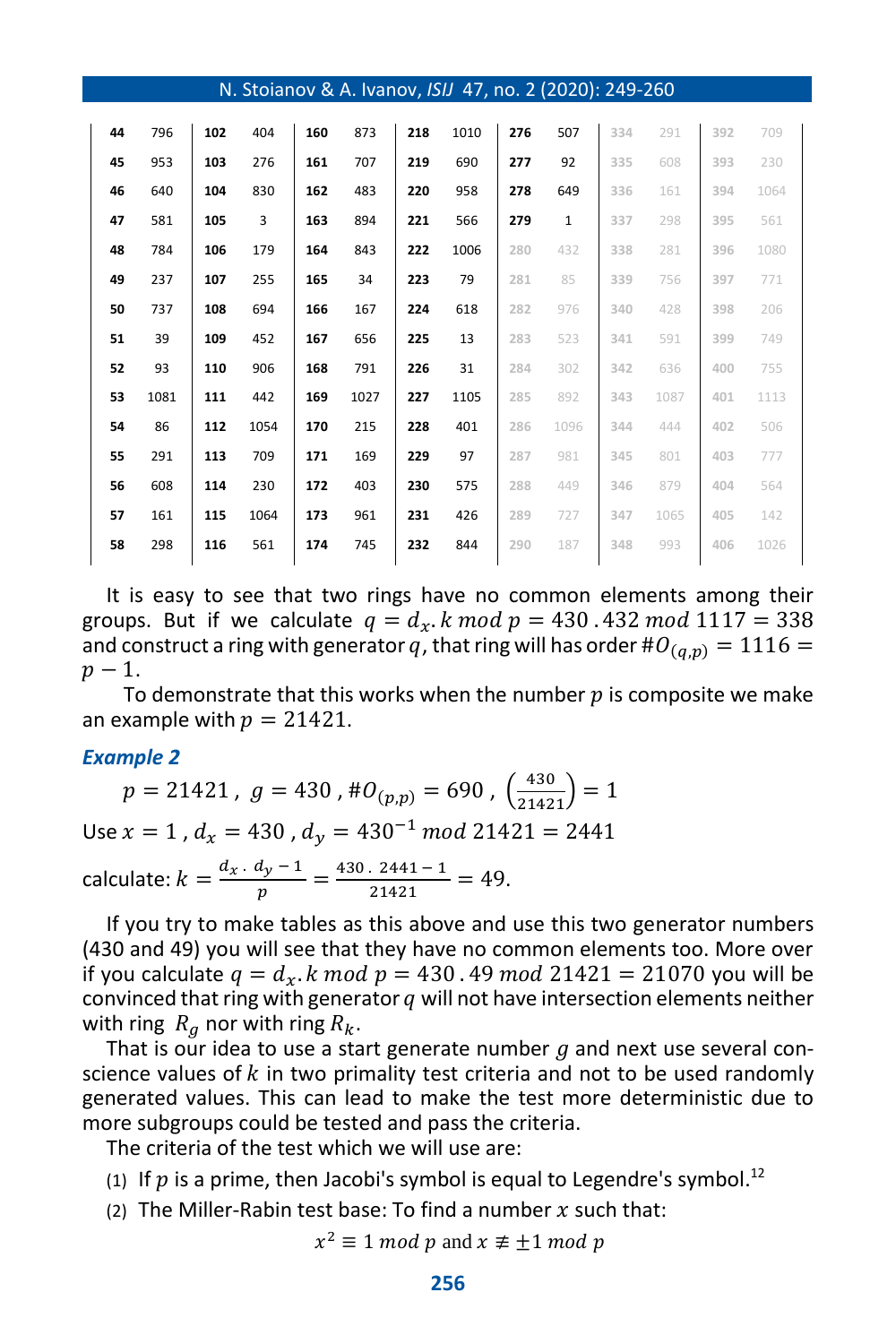| N. Stoianov & A. Ivanov, ISIJ 47, no. 2 (2020): 249-260 |      |     |      |     |      |     |      |     |              |     |      |     |      |
|---------------------------------------------------------|------|-----|------|-----|------|-----|------|-----|--------------|-----|------|-----|------|
| 44                                                      | 796  | 102 | 404  | 160 | 873  | 218 | 1010 | 276 | 507          | 334 | 291  | 392 | 709  |
| 45                                                      | 953  | 103 | 276  | 161 | 707  | 219 | 690  | 277 | 92           | 335 | 608  | 393 | 230  |
| 46                                                      | 640  | 104 | 830  | 162 | 483  | 220 | 958  | 278 | 649          | 336 | 161  | 394 | 1064 |
| 47                                                      | 581  | 105 | 3    | 163 | 894  | 221 | 566  | 279 | $\mathbf{1}$ | 337 | 298  | 395 | 561  |
| 48                                                      | 784  | 106 | 179  | 164 | 843  | 222 | 1006 | 280 | 432          | 338 | 281  | 396 | 1080 |
| 49                                                      | 237  | 107 | 255  | 165 | 34   | 223 | 79   | 281 | 85           | 339 | 756  | 397 | 771  |
| 50                                                      | 737  | 108 | 694  | 166 | 167  | 224 | 618  | 282 | 976          | 340 | 428  | 398 | 206  |
| 51                                                      | 39   | 109 | 452  | 167 | 656  | 225 | 13   | 283 | 523          | 341 | 591  | 399 | 749  |
| 52                                                      | 93   | 110 | 906  | 168 | 791  | 226 | 31   | 284 | 302          | 342 | 636  | 400 | 755  |
| 53                                                      | 1081 | 111 | 442  | 169 | 1027 | 227 | 1105 | 285 | 892          | 343 | 1087 | 401 | 1113 |
| 54                                                      | 86   | 112 | 1054 | 170 | 215  | 228 | 401  | 286 | 1096         | 344 | 444  | 402 | 506  |
| 55                                                      | 291  | 113 | 709  | 171 | 169  | 229 | 97   | 287 | 981          | 345 | 801  | 403 | 777  |
| 56                                                      | 608  | 114 | 230  | 172 | 403  | 230 | 575  | 288 | 449          | 346 | 879  | 404 | 564  |
| 57                                                      | 161  | 115 | 1064 | 173 | 961  | 231 | 426  | 289 | 727          | 347 | 1065 | 405 | 142  |
| 58                                                      | 298  | 116 | 561  | 174 | 745  | 232 | 844  | 290 | 187          | 348 | 993  | 406 | 1026 |

It is easy to see that two rings have no common elements among their groups. But if we calculate  $q = d_x$ . k mod  $p = 430$ . 432 mod 1117 = 338 and construct a ring with generator q, that ring will has order  $\#O_{(a,p)} = 1116 =$  $p-1$ .

To demonstrate that this works when the number  $p$  is composite we make an example with  $p = 21421$ .

#### *Example 2*

 $p = 21421$ ,  $g = 430$ ,  $\#O_{(p,p)} = 690$ ,  $\left(\frac{430}{21421}\right) = 1$ Use  $x = 1$ ,  $d_x = 430$ ,  $d_y = 430^{-1}$  mod 21421 = 2441 calculate:  $k = \frac{d_x d_y - 1}{n}$  $\frac{dy-1}{p} = \frac{430.2441 - 1}{21421}$  $\frac{2441}{21421} = 49.$ 

If you try to make tables as this above and use this two generator numbers (430 and 49) you will see that they have no common elements too. More over if you calculate  $q = d_x$ . k mod  $p = 430$ . 49 mod 21421 = 21070 you will be convinced that ring with generator  $q$  will not have intersection elements neither with ring  $R_a$  nor with ring  $R_k$ .

That is our idea to use a start generate number  $g$  and next use several conscience values of  $k$  in two primality test criteria and not to be used randomly generated values. This can lead to make the test more deterministic due to more subgroups could be tested and pass the criteria.

The criteria of the test which we will use are:

(1) If  $p$  is a prime, then Jacobi's symbol is equal to Legendre's symbol.<sup>12</sup>

(2) The Miller-Rabin test base: To find a number  $x$  such that:

 $x^2 \equiv 1 \bmod p$  and  $x \not\equiv \pm 1 \bmod p$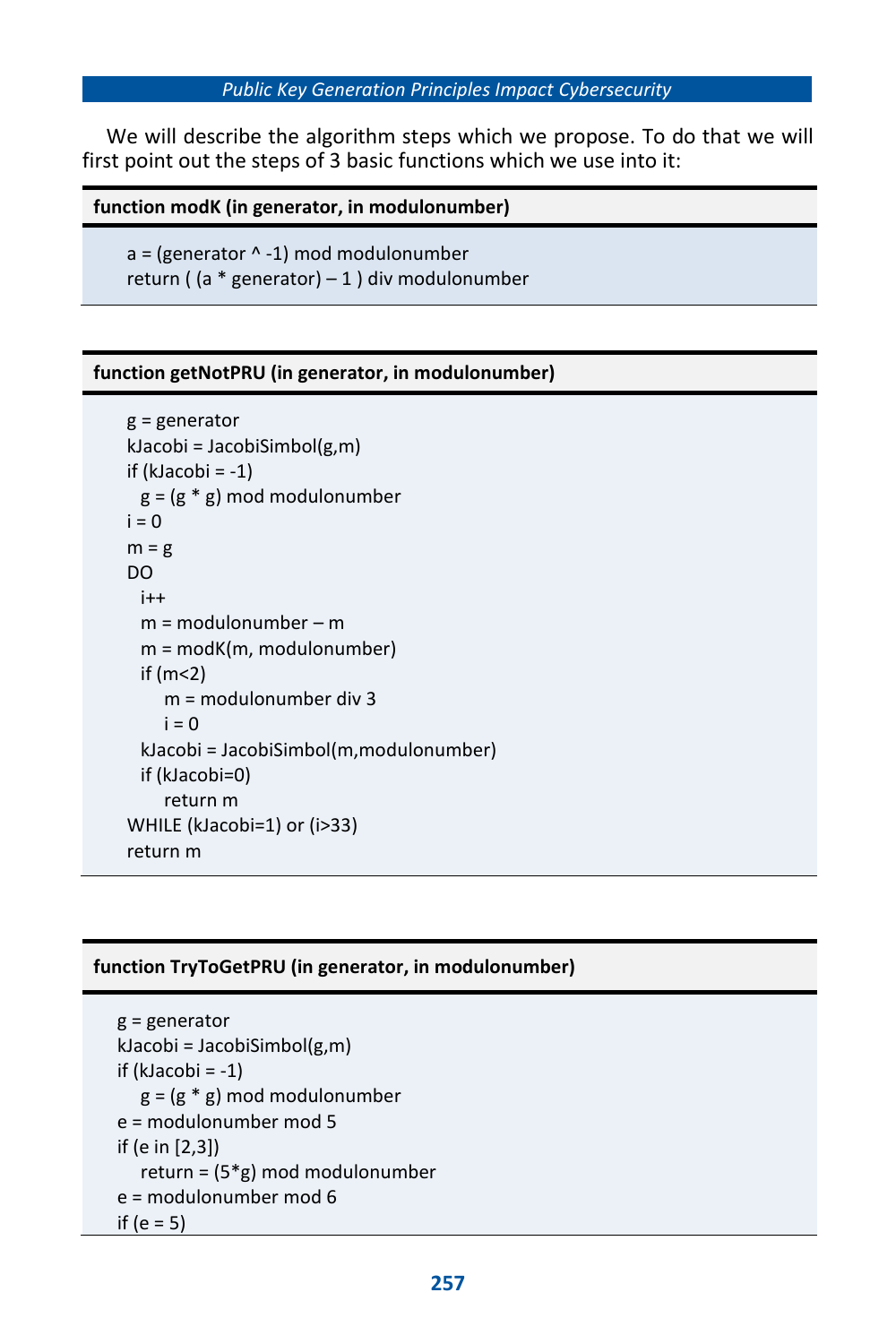#### *Public Key Generation Principles Impact Cybersecurity*

We will describe the algorithm steps which we propose. To do that we will first point out the steps of 3 basic functions which we use into it:

#### **function modK (in generator, in modulonumber)**

 $a =$  (generator  $\wedge$  -1) mod modulonumber return ( $(a * generator) - 1$ ) div modulonumber

#### **function getNotPRU (in generator, in modulonumber)**

```
g = generator
kJacobi = JacobiSimbol(g,m)
if (klacobi = -1)g = (g * g) mod modulonumber
i = 0m = gDO
 i++m = modulonumber – m
 m = modK(m, modulonumber)
 if (m<2)m = modulonumber div 3
    i = 0kJacobi = JacobiSimbol(m,modulonumber)
 if (kJacobi=0)
    return m
WHILE (kJacobi=1) or (i>33)
return m
```
#### **function TryToGetPRU (in generator, in modulonumber)**

```
g = generator
kJacobi = JacobiSimbol(g,m)
if (klacobi = -1)g = (g * g) mod modulonumber
e = modulonumber mod 5
if (e in [2,3])
  return = (5*g) mod modulonumber
e = modulonumber mod 6
if (e = 5)
```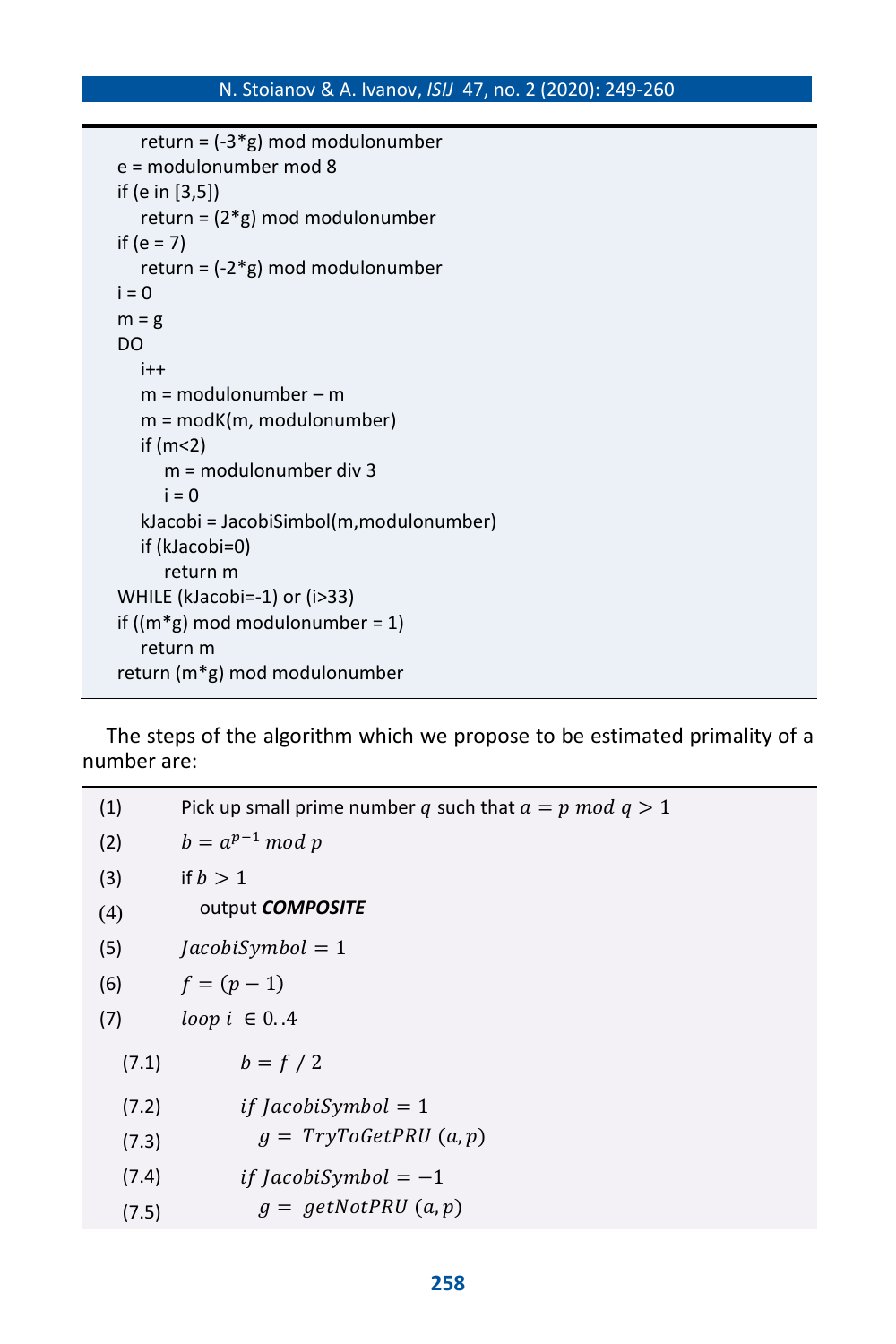```
return = (-3*g) mod modulonumber
e = modulonumber mod 8
if (e in [3,5])
  return = (2*g) mod modulonumber
if (e = 7)
  return = (-2*g) mod modulonumber
i = 0m = gDO
  i++m = modulonumber – m
  m = modK(m, modulonumber)
  if (m<2)
     m = modulonumber div 3
     i = 0kJacobi = JacobiSimbol(m,modulonumber)
  if (kJacobi=0)
     return m
WHILE (kJacobi=-1) or (i>33)
if ((m*g) mod modulonumber = 1)
  return m
return (m*g) mod modulonumber
```
The steps of the algorithm which we propose to be estimated primality of a number are:

| (1)   | Pick up small prime number q such that $a = p \mod q > 1$ |
|-------|-----------------------------------------------------------|
| (2)   | $b = a^{p-1} \mod p$                                      |
| (3)   | if $b > 1$                                                |
| (4)   | output <b>COMPOSITE</b>                                   |
| (5)   | $JacobiSymbol = 1$                                        |
| (6)   | $f = (p - 1)$                                             |
| (7)   | loop $i \in \{04\}$                                       |
| (7.1) | $b=f/2$                                                   |
| (7.2) | <i>if JacobiSymbol</i> = 1                                |
| (7.3) | $g = TryToGetPRU(a,p)$                                    |
| (7.4) | if JacobiSymbol $= -1$                                    |
| (7.5) | $g = getNotPRU(a,p)$                                      |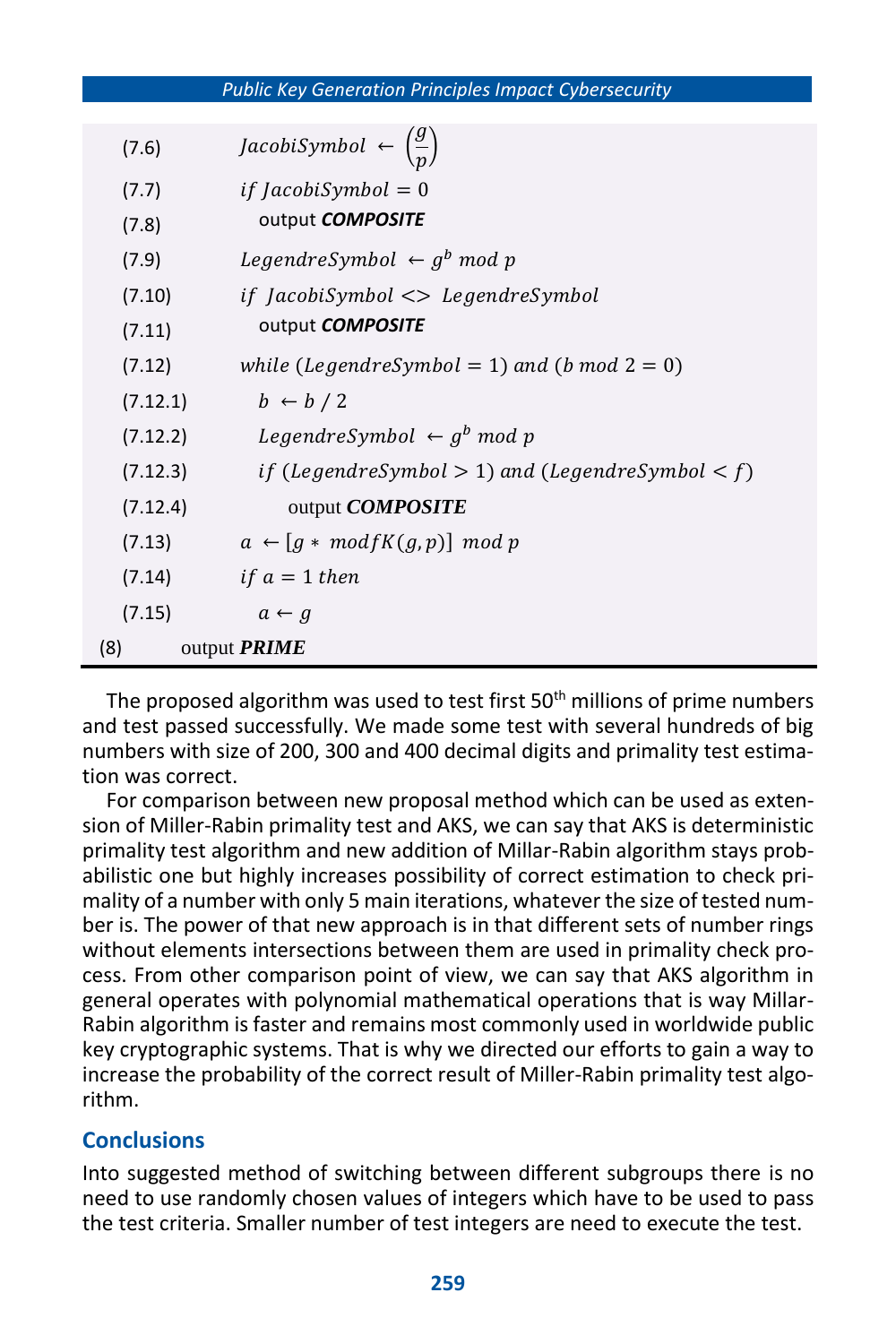*Public Key Generation Principles Impact Cybersecurity*

|     | (7.6)    | <i>JacobiSymbol</i> $\leftarrow \left(\frac{y}{n}\right)$ |
|-----|----------|-----------------------------------------------------------|
|     | (7.7)    | <i>if JacobiSymbol</i> = 0                                |
|     | (7.8)    | output <b>COMPOSITE</b>                                   |
|     | (7.9)    | LegendreSymbol $\leftarrow g^b$ mod p                     |
|     | (7.10)   | if JacobiSymbol <> LegendreSymbol                         |
|     | (7.11)   | output <b>COMPOSITE</b>                                   |
|     | (7.12)   | while (LegendreSymbol = 1) and (b mod $2 = 0$ )           |
|     | (7.12.1) | $b \leftarrow b / 2$                                      |
|     | (7.12.2) | LegendreSymbol $\leftarrow g^b$ mod p                     |
|     | (7.12.3) | if (LegendreSymbol $> 1$ ) and (LegendreSymbol $< f$ )    |
|     | (7.12.4) | output <b>COMPOSITE</b>                                   |
|     | (7.13)   | $a \leftarrow [g * mod fK(g,p)] \mod p$                   |
|     | (7.14)   | <i>if</i> $a = 1$ then                                    |
|     | (7.15)   | $a \leftarrow g$                                          |
| (8) |          | output <b>PRIME</b>                                       |

The proposed algorithm was used to test first  $50<sup>th</sup>$  millions of prime numbers and test passed successfully. We made some test with several hundreds of big numbers with size of 200, 300 and 400 decimal digits and primality test estimation was correct.

For comparison between new proposal method which can be used as extension of Miller-Rabin primality test and AKS, we can say that AKS is deterministic primality test algorithm and new addition of Millar-Rabin algorithm stays probabilistic one but highly increases possibility of correct estimation to check primality of a number with only 5 main iterations, whatever the size of tested number is. The power of that new approach is in that different sets of number rings without elements intersections between them are used in primality check process. From other comparison point of view, we can say that AKS algorithm in general operates with polynomial mathematical operations that is way Millar-Rabin algorithm is faster and remains most commonly used in worldwide public key cryptographic systems. That is why we directed our efforts to gain a way to increase the probability of the correct result of Miller-Rabin primality test algorithm.

## **Conclusions**

Into suggested method of switching between different subgroups there is no need to use randomly chosen values of integers which have to be used to pass the test criteria. Smaller number of test integers are need to execute the test.